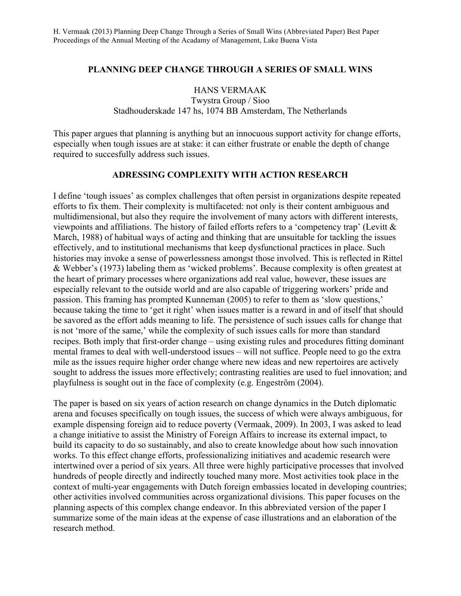## **PLANNING DEEP CHANGE THROUGH A SERIES OF SMALL WINS**

### HANS VERMAAK

Twystra Group / Sioo Stadhouderskade 147 hs, 1074 BB Amsterdam, The Netherlands

This paper argues that planning is anything but an innocuous support activity for change efforts, especially when tough issues are at stake: it can either frustrate or enable the depth of change required to succesfully address such issues.

## **ADRESSING COMPLEXITY WITH ACTION RESEARCH**

I define 'tough issues' as complex challenges that often persist in organizations despite repeated efforts to fix them. Their complexity is multifaceted: not only is their content ambiguous and multidimensional, but also they require the involvement of many actors with different interests, viewpoints and affiliations. The history of failed efforts refers to a 'competency trap' (Levitt & March, 1988) of habitual ways of acting and thinking that are unsuitable for tackling the issues effectively, and to institutional mechanisms that keep dysfunctional practices in place. Such histories may invoke a sense of powerlessness amongst those involved. This is reflected in Rittel & Webber's (1973) labeling them as 'wicked problems'. Because complexity is often greatest at the heart of primary processes where organizations add real value, however, these issues are especially relevant to the outside world and are also capable of triggering workers' pride and passion. This framing has prompted Kunneman (2005) to refer to them as 'slow questions,' because taking the time to 'get it right' when issues matter is a reward in and of itself that should be savored as the effort adds meaning to life. The persistence of such issues calls for change that is not 'more of the same,' while the complexity of such issues calls for more than standard recipes. Both imply that first-order change – using existing rules and procedures fitting dominant mental frames to deal with well-understood issues – will not suffice. People need to go the extra mile as the issues require higher order change where new ideas and new repertoires are actively sought to address the issues more effectively; contrasting realities are used to fuel innovation; and playfulness is sought out in the face of complexity (e.g. Engeström (2004).

The paper is based on six years of action research on change dynamics in the Dutch diplomatic arena and focuses specifically on tough issues, the success of which were always ambiguous, for example dispensing foreign aid to reduce poverty (Vermaak, 2009). In 2003, I was asked to lead a change initiative to assist the Ministry of Foreign Affairs to increase its external impact, to build its capacity to do so sustainably, and also to create knowledge about how such innovation works. To this effect change efforts, professionalizing initiatives and academic research were intertwined over a period of six years. All three were highly participative processes that involved hundreds of people directly and indirectly touched many more. Most activities took place in the context of multi-year engagements with Dutch foreign embassies located in developing countries; other activities involved communities across organizational divisions. This paper focuses on the planning aspects of this complex change endeavor. In this abbreviated version of the paper I summarize some of the main ideas at the expense of case illustrations and an elaboration of the research method.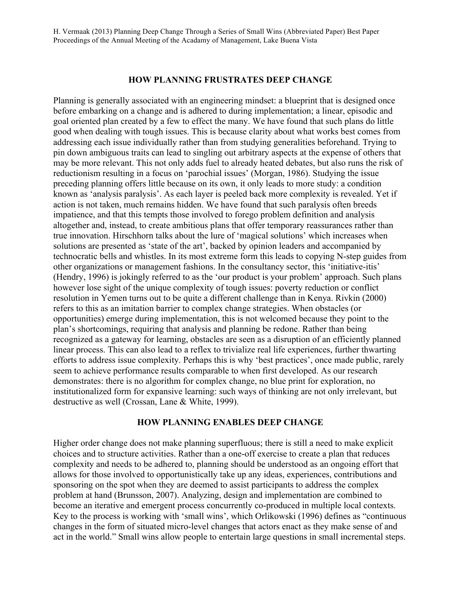### **HOW PLANNING FRUSTRATES DEEP CHANGE**

Planning is generally associated with an engineering mindset: a blueprint that is designed once before embarking on a change and is adhered to during implementation; a linear, episodic and goal oriented plan created by a few to effect the many. We have found that such plans do little good when dealing with tough issues. This is because clarity about what works best comes from addressing each issue individually rather than from studying generalities beforehand. Trying to pin down ambiguous traits can lead to singling out arbitrary aspects at the expense of others that may be more relevant. This not only adds fuel to already heated debates, but also runs the risk of reductionism resulting in a focus on 'parochial issues' (Morgan, 1986). Studying the issue preceding planning offers little because on its own, it only leads to more study: a condition known as 'analysis paralysis'. As each layer is peeled back more complexity is revealed. Yet if action is not taken, much remains hidden. We have found that such paralysis often breeds impatience, and that this tempts those involved to forego problem definition and analysis altogether and, instead, to create ambitious plans that offer temporary reassurances rather than true innovation. Hirschhorn talks about the lure of 'magical solutions' which increases when solutions are presented as 'state of the art', backed by opinion leaders and accompanied by technocratic bells and whistles. In its most extreme form this leads to copying N-step guides from other organizations or management fashions. In the consultancy sector, this 'initiative-itis' (Hendry, 1996) is jokingly referred to as the 'our product is your problem' approach. Such plans however lose sight of the unique complexity of tough issues: poverty reduction or conflict resolution in Yemen turns out to be quite a different challenge than in Kenya. Rivkin (2000) refers to this as an imitation barrier to complex change strategies. When obstacles (or opportunities) emerge during implementation, this is not welcomed because they point to the plan's shortcomings, requiring that analysis and planning be redone. Rather than being recognized as a gateway for learning, obstacles are seen as a disruption of an efficiently planned linear process. This can also lead to a reflex to trivialize real life experiences, further thwarting efforts to address issue complexity. Perhaps this is why 'best practices', once made public, rarely seem to achieve performance results comparable to when first developed. As our research demonstrates: there is no algorithm for complex change, no blue print for exploration, no institutionalized form for expansive learning: such ways of thinking are not only irrelevant, but destructive as well (Crossan, Lane & White, 1999).

### **HOW PLANNING ENABLES DEEP CHANGE**

Higher order change does not make planning superfluous; there is still a need to make explicit choices and to structure activities. Rather than a one-off exercise to create a plan that reduces complexity and needs to be adhered to, planning should be understood as an ongoing effort that allows for those involved to opportunistically take up any ideas, experiences, contributions and sponsoring on the spot when they are deemed to assist participants to address the complex problem at hand (Brunsson, 2007). Analyzing, design and implementation are combined to become an iterative and emergent process concurrently co-produced in multiple local contexts. Key to the process is working with 'small wins', which Orlikowski (1996) defines as "continuous changes in the form of situated micro-level changes that actors enact as they make sense of and act in the world." Small wins allow people to entertain large questions in small incremental steps.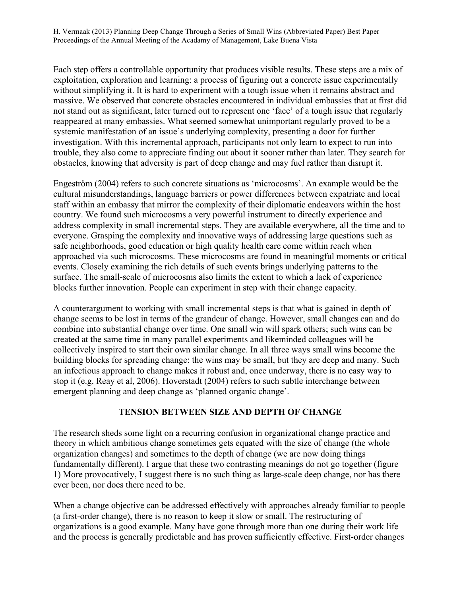Each step offers a controllable opportunity that produces visible results. These steps are a mix of exploitation, exploration and learning: a process of figuring out a concrete issue experimentally without simplifying it. It is hard to experiment with a tough issue when it remains abstract and massive. We observed that concrete obstacles encountered in individual embassies that at first did not stand out as significant, later turned out to represent one 'face' of a tough issue that regularly reappeared at many embassies. What seemed somewhat unimportant regularly proved to be a systemic manifestation of an issue's underlying complexity, presenting a door for further investigation. With this incremental approach, participants not only learn to expect to run into trouble, they also come to appreciate finding out about it sooner rather than later. They search for obstacles, knowing that adversity is part of deep change and may fuel rather than disrupt it.

Engeström (2004) refers to such concrete situations as 'microcosms'. An example would be the cultural misunderstandings, language barriers or power differences between expatriate and local staff within an embassy that mirror the complexity of their diplomatic endeavors within the host country. We found such microcosms a very powerful instrument to directly experience and address complexity in small incremental steps. They are available everywhere, all the time and to everyone. Grasping the complexity and innovative ways of addressing large questions such as safe neighborhoods, good education or high quality health care come within reach when approached via such microcosms. These microcosms are found in meaningful moments or critical events. Closely examining the rich details of such events brings underlying patterns to the surface. The small-scale of microcosms also limits the extent to which a lack of experience blocks further innovation. People can experiment in step with their change capacity.

A counterargument to working with small incremental steps is that what is gained in depth of change seems to be lost in terms of the grandeur of change. However, small changes can and do combine into substantial change over time. One small win will spark others; such wins can be created at the same time in many parallel experiments and likeminded colleagues will be collectively inspired to start their own similar change. In all three ways small wins become the building blocks for spreading change: the wins may be small, but they are deep and many. Such an infectious approach to change makes it robust and, once underway, there is no easy way to stop it (e.g. Reay et al, 2006). Hoverstadt (2004) refers to such subtle interchange between emergent planning and deep change as 'planned organic change'.

# **TENSION BETWEEN SIZE AND DEPTH OF CHANGE**

The research sheds some light on a recurring confusion in organizational change practice and theory in which ambitious change sometimes gets equated with the size of change (the whole organization changes) and sometimes to the depth of change (we are now doing things fundamentally different). I argue that these two contrasting meanings do not go together (figure 1) More provocatively, I suggest there is no such thing as large-scale deep change, nor has there ever been, nor does there need to be.

When a change objective can be addressed effectively with approaches already familiar to people (a first-order change), there is no reason to keep it slow or small. The restructuring of organizations is a good example. Many have gone through more than one during their work life and the process is generally predictable and has proven sufficiently effective. First-order changes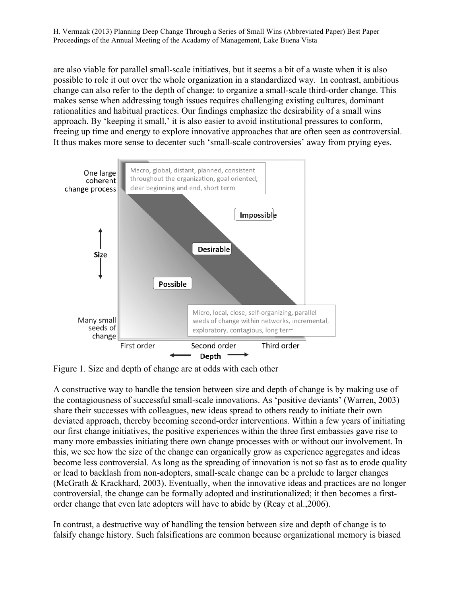are also viable for parallel small-scale initiatives, but it seems a bit of a waste when it is also possible to role it out over the whole organization in a standardized way. In contrast, ambitious change can also refer to the depth of change: to organize a small-scale third-order change. This makes sense when addressing tough issues requires challenging existing cultures, dominant rationalities and habitual practices. Our findings emphasize the desirability of a small wins approach. By 'keeping it small,' it is also easier to avoid institutional pressures to conform, freeing up time and energy to explore innovative approaches that are often seen as controversial. It thus makes more sense to decenter such 'small-scale controversies' away from prying eyes.



Figure 1. Size and depth of change are at odds with each other

A constructive way to handle the tension between size and depth of change is by making use of the contagiousness of successful small-scale innovations. As 'positive deviants' (Warren, 2003) share their successes with colleagues, new ideas spread to others ready to initiate their own deviated approach, thereby becoming second-order interventions. Within a few years of initiating our first change initiatives, the positive experiences within the three first embassies gave rise to many more embassies initiating there own change processes with or without our involvement. In this, we see how the size of the change can organically grow as experience aggregates and ideas become less controversial. As long as the spreading of innovation is not so fast as to erode quality or lead to backlash from non-adopters, small-scale change can be a prelude to larger changes (McGrath & Krackhard, 2003). Eventually, when the innovative ideas and practices are no longer controversial, the change can be formally adopted and institutionalized; it then becomes a firstorder change that even late adopters will have to abide by (Reay et al.,2006).

In contrast, a destructive way of handling the tension between size and depth of change is to falsify change history. Such falsifications are common because organizational memory is biased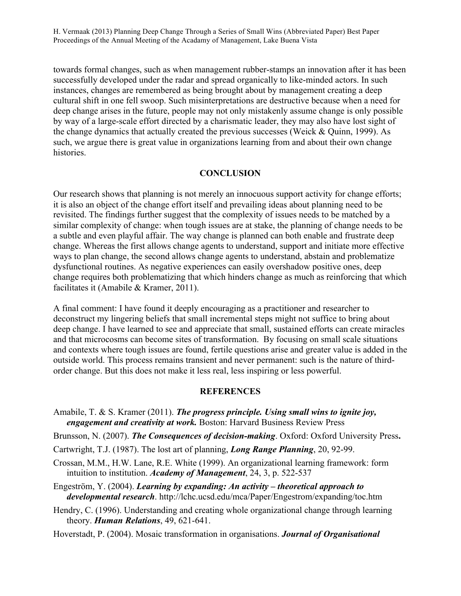towards formal changes, such as when management rubber-stamps an innovation after it has been successfully developed under the radar and spread organically to like-minded actors. In such instances, changes are remembered as being brought about by management creating a deep cultural shift in one fell swoop. Such misinterpretations are destructive because when a need for deep change arises in the future, people may not only mistakenly assume change is only possible by way of a large-scale effort directed by a charismatic leader, they may also have lost sight of the change dynamics that actually created the previous successes (Weick & Quinn, 1999). As such, we argue there is great value in organizations learning from and about their own change histories.

#### **CONCLUSION**

Our research shows that planning is not merely an innocuous support activity for change efforts; it is also an object of the change effort itself and prevailing ideas about planning need to be revisited. The findings further suggest that the complexity of issues needs to be matched by a similar complexity of change: when tough issues are at stake, the planning of change needs to be a subtle and even playful affair. The way change is planned can both enable and frustrate deep change. Whereas the first allows change agents to understand, support and initiate more effective ways to plan change, the second allows change agents to understand, abstain and problematize dysfunctional routines. As negative experiences can easily overshadow positive ones, deep change requires both problematizing that which hinders change as much as reinforcing that which facilitates it (Amabile & Kramer, 2011).

A final comment: I have found it deeply encouraging as a practitioner and researcher to deconstruct my lingering beliefs that small incremental steps might not suffice to bring about deep change. I have learned to see and appreciate that small, sustained efforts can create miracles and that microcosms can become sites of transformation. By focusing on small scale situations and contexts where tough issues are found, fertile questions arise and greater value is added in the outside world. This process remains transient and never permanent: such is the nature of thirdorder change. But this does not make it less real, less inspiring or less powerful.

#### **REFERENCES**

- Amabile, T. & S. Kramer (2011). *The progress principle. Using small wins to ignite joy, engagement and creativity at work.* Boston: Harvard Business Review Press
- Brunsson, N. (2007). *The Consequences of decision-making*. Oxford: Oxford University Press**.**
- Cartwright, T.J. (1987). The lost art of planning, *Long Range Planning*, 20, 92-99.
- Crossan, M.M., H.W. Lane, R.E. White (1999). An organizational learning framework: form intuition to institution. *Academy of Management*, 24, 3, p. 522-537
- Engeström, Y. (2004). *Learning by expanding: An activity – theoretical approach to developmental research*. http://lchc.ucsd.edu/mca/Paper/Engestrom/expanding/toc.htm
- Hendry, C. (1996). Understanding and creating whole organizational change through learning theory. *Human Relations*, 49, 621-641.
- Hoverstadt, P. (2004). Mosaic transformation in organisations. *Journal of Organisational*